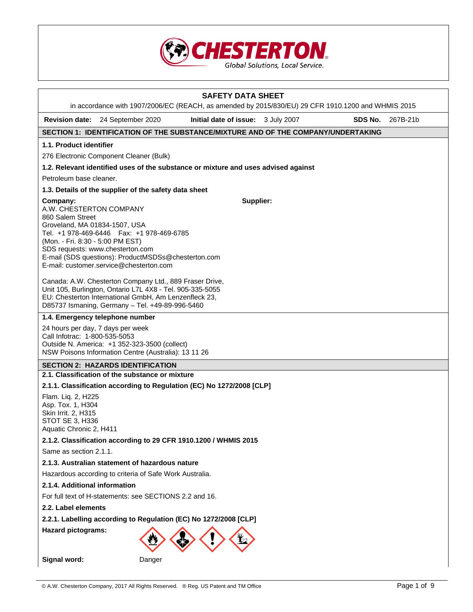

|                                                                                                              |                                                                                                                                                                                                                                                                                                                                                                                                                                                                                                                                                        | <b>SAFETY DATA SHEET</b><br>in accordance with 1907/2006/EC (REACH, as amended by 2015/830/EU) 29 CFR 1910.1200 and WHMIS 2015 |  |         |          |  |
|--------------------------------------------------------------------------------------------------------------|--------------------------------------------------------------------------------------------------------------------------------------------------------------------------------------------------------------------------------------------------------------------------------------------------------------------------------------------------------------------------------------------------------------------------------------------------------------------------------------------------------------------------------------------------------|--------------------------------------------------------------------------------------------------------------------------------|--|---------|----------|--|
|                                                                                                              | Revision date: 24 September 2020                                                                                                                                                                                                                                                                                                                                                                                                                                                                                                                       | Initial date of issue: 3 July 2007                                                                                             |  | SDS No. | 267B-21b |  |
|                                                                                                              |                                                                                                                                                                                                                                                                                                                                                                                                                                                                                                                                                        | SECTION 1: IDENTIFICATION OF THE SUBSTANCE/MIXTURE AND OF THE COMPANY/UNDERTAKING                                              |  |         |          |  |
| 1.1. Product identifier                                                                                      |                                                                                                                                                                                                                                                                                                                                                                                                                                                                                                                                                        |                                                                                                                                |  |         |          |  |
|                                                                                                              | 276 Electronic Component Cleaner (Bulk)                                                                                                                                                                                                                                                                                                                                                                                                                                                                                                                |                                                                                                                                |  |         |          |  |
|                                                                                                              |                                                                                                                                                                                                                                                                                                                                                                                                                                                                                                                                                        | 1.2. Relevant identified uses of the substance or mixture and uses advised against                                             |  |         |          |  |
| Petroleum base cleaner.                                                                                      |                                                                                                                                                                                                                                                                                                                                                                                                                                                                                                                                                        |                                                                                                                                |  |         |          |  |
|                                                                                                              | 1.3. Details of the supplier of the safety data sheet                                                                                                                                                                                                                                                                                                                                                                                                                                                                                                  |                                                                                                                                |  |         |          |  |
| Company:                                                                                                     | Supplier:<br>A.W. CHESTERTON COMPANY<br>860 Salem Street<br>Groveland, MA 01834-1507, USA<br>Tel. +1 978-469-6446   Fax: +1 978-469-6785<br>(Mon. - Fri. 8:30 - 5:00 PM EST)<br>SDS requests: www.chesterton.com<br>E-mail (SDS questions): ProductMSDSs@chesterton.com<br>E-mail: customer.service@chesterton.com<br>Canada: A.W. Chesterton Company Ltd., 889 Fraser Drive,<br>Unit 105, Burlington, Ontario L7L 4X8 - Tel. 905-335-5055<br>EU: Chesterton International GmbH, Am Lenzenfleck 23,<br>D85737 Ismaning, Germany - Tel. +49-89-996-5460 |                                                                                                                                |  |         |          |  |
|                                                                                                              | 1.4. Emergency telephone number                                                                                                                                                                                                                                                                                                                                                                                                                                                                                                                        |                                                                                                                                |  |         |          |  |
| Call Infotrac: 1-800-535-5053                                                                                | 24 hours per day, 7 days per week<br>Outside N. America: +1 352-323-3500 (collect)<br>NSW Poisons Information Centre (Australia): 13 11 26                                                                                                                                                                                                                                                                                                                                                                                                             |                                                                                                                                |  |         |          |  |
|                                                                                                              | <b>SECTION 2: HAZARDS IDENTIFICATION</b>                                                                                                                                                                                                                                                                                                                                                                                                                                                                                                               |                                                                                                                                |  |         |          |  |
|                                                                                                              | 2.1. Classification of the substance or mixture                                                                                                                                                                                                                                                                                                                                                                                                                                                                                                        |                                                                                                                                |  |         |          |  |
| Flam. Liq. 2, H225<br>Asp. Tox. 1, H304<br>Skin Irrit. 2, H315<br>STOT SE 3, H336<br>Aquatic Chronic 2, H411 |                                                                                                                                                                                                                                                                                                                                                                                                                                                                                                                                                        | 2.1.1. Classification according to Regulation (EC) No 1272/2008 [CLP]                                                          |  |         |          |  |
|                                                                                                              |                                                                                                                                                                                                                                                                                                                                                                                                                                                                                                                                                        | 2.1.2. Classification according to 29 CFR 1910.1200 / WHMIS 2015                                                               |  |         |          |  |
| Same as section 2.1.1.                                                                                       |                                                                                                                                                                                                                                                                                                                                                                                                                                                                                                                                                        |                                                                                                                                |  |         |          |  |
|                                                                                                              | 2.1.3. Australian statement of hazardous nature                                                                                                                                                                                                                                                                                                                                                                                                                                                                                                        |                                                                                                                                |  |         |          |  |
|                                                                                                              | Hazardous according to criteria of Safe Work Australia.                                                                                                                                                                                                                                                                                                                                                                                                                                                                                                |                                                                                                                                |  |         |          |  |
|                                                                                                              | 2.1.4. Additional information                                                                                                                                                                                                                                                                                                                                                                                                                                                                                                                          |                                                                                                                                |  |         |          |  |
|                                                                                                              | For full text of H-statements: see SECTIONS 2.2 and 16.                                                                                                                                                                                                                                                                                                                                                                                                                                                                                                |                                                                                                                                |  |         |          |  |
| 2.2. Label elements                                                                                          |                                                                                                                                                                                                                                                                                                                                                                                                                                                                                                                                                        |                                                                                                                                |  |         |          |  |
|                                                                                                              | 2.2.1. Labelling according to Regulation (EC) No 1272/2008 [CLP]                                                                                                                                                                                                                                                                                                                                                                                                                                                                                       |                                                                                                                                |  |         |          |  |
| <b>Hazard pictograms:</b>                                                                                    |                                                                                                                                                                                                                                                                                                                                                                                                                                                                                                                                                        |                                                                                                                                |  |         |          |  |
| Signal word:                                                                                                 | Danger                                                                                                                                                                                                                                                                                                                                                                                                                                                                                                                                                 |                                                                                                                                |  |         |          |  |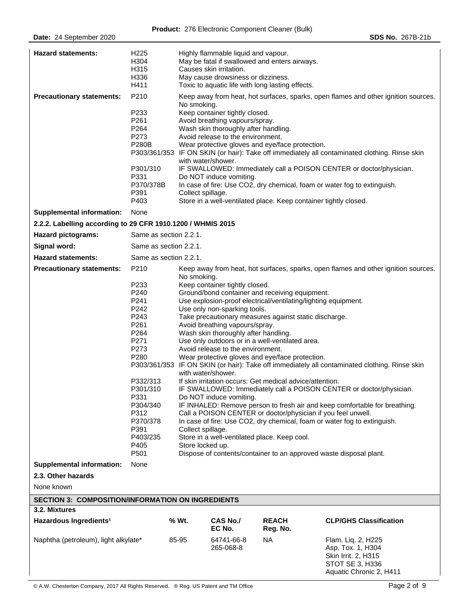| <b>Hazard statements:</b>                                   | H <sub>225</sub><br>H304<br>H315<br>H336<br>H411                                                                                                                                         |                                                                                                                                                                                                                                                                                                                                                                                                                                                                                                                                                                                                                                                                                                                                                                                                                                                                                                                                                                                                                                                                                                                                                                               | Highly flammable liquid and vapour.<br>Causes skin irritation.<br>May cause drowsiness or dizziness.                                                                                           | May be fatal if swallowed and enters airways.<br>Toxic to aquatic life with long lasting effects.                   |                                                                                                                                                                                                                                                                                                                                        |
|-------------------------------------------------------------|------------------------------------------------------------------------------------------------------------------------------------------------------------------------------------------|-------------------------------------------------------------------------------------------------------------------------------------------------------------------------------------------------------------------------------------------------------------------------------------------------------------------------------------------------------------------------------------------------------------------------------------------------------------------------------------------------------------------------------------------------------------------------------------------------------------------------------------------------------------------------------------------------------------------------------------------------------------------------------------------------------------------------------------------------------------------------------------------------------------------------------------------------------------------------------------------------------------------------------------------------------------------------------------------------------------------------------------------------------------------------------|------------------------------------------------------------------------------------------------------------------------------------------------------------------------------------------------|---------------------------------------------------------------------------------------------------------------------|----------------------------------------------------------------------------------------------------------------------------------------------------------------------------------------------------------------------------------------------------------------------------------------------------------------------------------------|
| <b>Precautionary statements:</b>                            | P210<br>P233<br>P261<br>P264<br>P273<br><b>P280B</b><br>P301/310<br>P331<br>P370/378B<br>P391<br>P403                                                                                    | No smoking.<br>Collect spillage.                                                                                                                                                                                                                                                                                                                                                                                                                                                                                                                                                                                                                                                                                                                                                                                                                                                                                                                                                                                                                                                                                                                                              | Keep container tightly closed.<br>Avoid breathing vapours/spray.<br>Wash skin thoroughly after handling.<br>Avoid release to the environment.<br>with water/shower.<br>Do NOT induce vomiting. | Wear protective gloves and eye/face protection.<br>Store in a well-ventilated place. Keep container tightly closed. | Keep away from heat, hot surfaces, sparks, open flames and other ignition sources.<br>P303/361/353 IF ON SKIN (or hair): Take off immediately all contaminated clothing. Rinse skin<br>IF SWALLOWED: Immediately call a POISON CENTER or doctor/physician.<br>In case of fire: Use CO2, dry chemical, foam or water fog to extinguish. |
| <b>Supplemental information:</b>                            | None                                                                                                                                                                                     |                                                                                                                                                                                                                                                                                                                                                                                                                                                                                                                                                                                                                                                                                                                                                                                                                                                                                                                                                                                                                                                                                                                                                                               |                                                                                                                                                                                                |                                                                                                                     |                                                                                                                                                                                                                                                                                                                                        |
| 2.2.2. Labelling according to 29 CFR 1910.1200 / WHMIS 2015 |                                                                                                                                                                                          |                                                                                                                                                                                                                                                                                                                                                                                                                                                                                                                                                                                                                                                                                                                                                                                                                                                                                                                                                                                                                                                                                                                                                                               |                                                                                                                                                                                                |                                                                                                                     |                                                                                                                                                                                                                                                                                                                                        |
| Hazard pictograms:                                          | Same as section 2.2.1.                                                                                                                                                                   |                                                                                                                                                                                                                                                                                                                                                                                                                                                                                                                                                                                                                                                                                                                                                                                                                                                                                                                                                                                                                                                                                                                                                                               |                                                                                                                                                                                                |                                                                                                                     |                                                                                                                                                                                                                                                                                                                                        |
| Signal word:                                                | Same as section 2.2.1.                                                                                                                                                                   |                                                                                                                                                                                                                                                                                                                                                                                                                                                                                                                                                                                                                                                                                                                                                                                                                                                                                                                                                                                                                                                                                                                                                                               |                                                                                                                                                                                                |                                                                                                                     |                                                                                                                                                                                                                                                                                                                                        |
| <b>Hazard statements:</b>                                   | Same as section 2.2.1.                                                                                                                                                                   |                                                                                                                                                                                                                                                                                                                                                                                                                                                                                                                                                                                                                                                                                                                                                                                                                                                                                                                                                                                                                                                                                                                                                                               |                                                                                                                                                                                                |                                                                                                                     |                                                                                                                                                                                                                                                                                                                                        |
| <b>Precautionary statements:</b>                            | P210<br>P233<br>P240<br>P241<br>P242<br>P243<br>P261<br>P264<br>P271<br>P273<br>P280<br>P332/313<br>P301/310<br>P331<br>P304/340<br>P312<br>P370/378<br>P391<br>P403/235<br>P405<br>P501 | Keep away from heat, hot surfaces, sparks, open flames and other ignition sources.<br>No smoking.<br>Keep container tightly closed.<br>Ground/bond container and receiving equipment.<br>Use explosion-proof electrical/ventilating/lighting equipment.<br>Use only non-sparking tools.<br>Take precautionary measures against static discharge.<br>Avoid breathing vapours/spray.<br>Wash skin thoroughly after handling.<br>Use only outdoors or in a well-ventilated area.<br>Avoid release to the environment.<br>Wear protective gloves and eye/face protection.<br>P303/361/353 IF ON SKIN (or hair): Take off immediately all contaminated clothing. Rinse skin<br>with water/shower.<br>If skin irritation occurs: Get medical advice/attention.<br>IF SWALLOWED: Immediately call a POISON CENTER or doctor/physician.<br>Do NOT induce vomiting.<br>IF INHALED: Remove person to fresh air and keep comfortable for breathing.<br>Call a POISON CENTER or doctor/physician if you feel unwell.<br>In case of fire: Use CO2, dry chemical, foam or water fog to extinguish.<br>Collect spillage.<br>Store in a well-ventilated place. Keep cool.<br>Store locked up. |                                                                                                                                                                                                |                                                                                                                     |                                                                                                                                                                                                                                                                                                                                        |
| <b>Supplemental information:</b>                            | None                                                                                                                                                                                     |                                                                                                                                                                                                                                                                                                                                                                                                                                                                                                                                                                                                                                                                                                                                                                                                                                                                                                                                                                                                                                                                                                                                                                               |                                                                                                                                                                                                |                                                                                                                     |                                                                                                                                                                                                                                                                                                                                        |
| 2.3. Other hazards                                          |                                                                                                                                                                                          |                                                                                                                                                                                                                                                                                                                                                                                                                                                                                                                                                                                                                                                                                                                                                                                                                                                                                                                                                                                                                                                                                                                                                                               |                                                                                                                                                                                                |                                                                                                                     |                                                                                                                                                                                                                                                                                                                                        |
| None known                                                  |                                                                                                                                                                                          |                                                                                                                                                                                                                                                                                                                                                                                                                                                                                                                                                                                                                                                                                                                                                                                                                                                                                                                                                                                                                                                                                                                                                                               |                                                                                                                                                                                                |                                                                                                                     |                                                                                                                                                                                                                                                                                                                                        |
| <b>SECTION 3: COMPOSITION/INFORMATION ON INGREDIENTS</b>    |                                                                                                                                                                                          |                                                                                                                                                                                                                                                                                                                                                                                                                                                                                                                                                                                                                                                                                                                                                                                                                                                                                                                                                                                                                                                                                                                                                                               |                                                                                                                                                                                                |                                                                                                                     |                                                                                                                                                                                                                                                                                                                                        |
| 3.2. Mixtures                                               |                                                                                                                                                                                          |                                                                                                                                                                                                                                                                                                                                                                                                                                                                                                                                                                                                                                                                                                                                                                                                                                                                                                                                                                                                                                                                                                                                                                               |                                                                                                                                                                                                |                                                                                                                     |                                                                                                                                                                                                                                                                                                                                        |
| Hazardous Ingredients <sup>1</sup>                          |                                                                                                                                                                                          | % Wt.                                                                                                                                                                                                                                                                                                                                                                                                                                                                                                                                                                                                                                                                                                                                                                                                                                                                                                                                                                                                                                                                                                                                                                         | <b>CAS No./</b><br>EC No.                                                                                                                                                                      | <b>REACH</b><br>Reg. No.                                                                                            | <b>CLP/GHS Classification</b>                                                                                                                                                                                                                                                                                                          |
| Naphtha (petroleum), light alkylate*                        |                                                                                                                                                                                          | 85-95                                                                                                                                                                                                                                                                                                                                                                                                                                                                                                                                                                                                                                                                                                                                                                                                                                                                                                                                                                                                                                                                                                                                                                         | 64741-66-8<br>265-068-8                                                                                                                                                                        | NA.                                                                                                                 | Flam. Liq. 2, H225<br>Asp. Tox. 1, H304<br>Skin Irrit. 2, H315<br>STOT SE 3, H336<br>Aquatic Chronic 2, H411                                                                                                                                                                                                                           |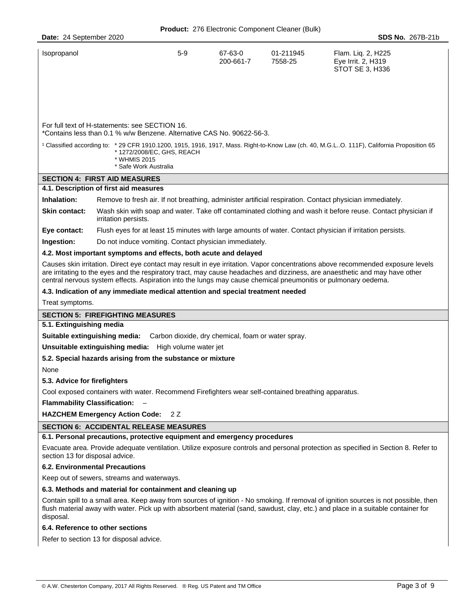| Date: 24 September 2020                       |                                                                                                                                                                                                                                                                                                                                                                                 |       |                      |                      | <b>SDS No. 267B-21b</b>                                                                                                                                                                                                                                                   |  |  |
|-----------------------------------------------|---------------------------------------------------------------------------------------------------------------------------------------------------------------------------------------------------------------------------------------------------------------------------------------------------------------------------------------------------------------------------------|-------|----------------------|----------------------|---------------------------------------------------------------------------------------------------------------------------------------------------------------------------------------------------------------------------------------------------------------------------|--|--|
| Isopropanol                                   |                                                                                                                                                                                                                                                                                                                                                                                 | $5-9$ | 67-63-0<br>200-661-7 | 01-211945<br>7558-25 | Flam. Liq. 2, H225<br>Eye Irrit. 2, H319<br>STOT SE 3, H336                                                                                                                                                                                                               |  |  |
|                                               | For full text of H-statements: see SECTION 16.                                                                                                                                                                                                                                                                                                                                  |       |                      |                      |                                                                                                                                                                                                                                                                           |  |  |
|                                               | *Contains less than 0.1 % w/w Benzene. Alternative CAS No. 90622-56-3.<br><sup>1</sup> Classified according to: * 29 CFR 1910.1200, 1915, 1916, 1917, Mass. Right-to-Know Law (ch. 40, M.G.LO. 111F), California Proposition 65<br>*1272/2008/EC, GHS, REACH<br>* WHMIS 2015<br>* Safe Work Australia                                                                           |       |                      |                      |                                                                                                                                                                                                                                                                           |  |  |
|                                               | <b>SECTION 4: FIRST AID MEASURES</b>                                                                                                                                                                                                                                                                                                                                            |       |                      |                      |                                                                                                                                                                                                                                                                           |  |  |
|                                               | 4.1. Description of first aid measures                                                                                                                                                                                                                                                                                                                                          |       |                      |                      |                                                                                                                                                                                                                                                                           |  |  |
| Inhalation:                                   |                                                                                                                                                                                                                                                                                                                                                                                 |       |                      |                      | Remove to fresh air. If not breathing, administer artificial respiration. Contact physician immediately.                                                                                                                                                                  |  |  |
| Skin contact:                                 | irritation persists.                                                                                                                                                                                                                                                                                                                                                            |       |                      |                      | Wash skin with soap and water. Take off contaminated clothing and wash it before reuse. Contact physician if                                                                                                                                                              |  |  |
| Eye contact:                                  |                                                                                                                                                                                                                                                                                                                                                                                 |       |                      |                      | Flush eyes for at least 15 minutes with large amounts of water. Contact physician if irritation persists.                                                                                                                                                                 |  |  |
| Ingestion:                                    | Do not induce vomiting. Contact physician immediately.                                                                                                                                                                                                                                                                                                                          |       |                      |                      |                                                                                                                                                                                                                                                                           |  |  |
|                                               | 4.2. Most important symptoms and effects, both acute and delayed                                                                                                                                                                                                                                                                                                                |       |                      |                      |                                                                                                                                                                                                                                                                           |  |  |
|                                               | Causes skin irritation. Direct eye contact may result in eye irritation. Vapor concentrations above recommended exposure levels<br>are irritating to the eyes and the respiratory tract, may cause headaches and dizziness, are anaesthetic and may have other<br>central nervous system effects. Aspiration into the lungs may cause chemical pneumonitis or pulmonary oedema. |       |                      |                      |                                                                                                                                                                                                                                                                           |  |  |
|                                               | 4.3. Indication of any immediate medical attention and special treatment needed                                                                                                                                                                                                                                                                                                 |       |                      |                      |                                                                                                                                                                                                                                                                           |  |  |
| Treat symptoms.                               |                                                                                                                                                                                                                                                                                                                                                                                 |       |                      |                      |                                                                                                                                                                                                                                                                           |  |  |
|                                               | <b>SECTION 5: FIREFIGHTING MEASURES</b>                                                                                                                                                                                                                                                                                                                                         |       |                      |                      |                                                                                                                                                                                                                                                                           |  |  |
| 5.1. Extinguishing media                      |                                                                                                                                                                                                                                                                                                                                                                                 |       |                      |                      |                                                                                                                                                                                                                                                                           |  |  |
|                                               | Suitable extinguishing media: Carbon dioxide, dry chemical, foam or water spray.                                                                                                                                                                                                                                                                                                |       |                      |                      |                                                                                                                                                                                                                                                                           |  |  |
|                                               | Unsuitable extinguishing media: High volume water jet                                                                                                                                                                                                                                                                                                                           |       |                      |                      |                                                                                                                                                                                                                                                                           |  |  |
|                                               | 5.2. Special hazards arising from the substance or mixture                                                                                                                                                                                                                                                                                                                      |       |                      |                      |                                                                                                                                                                                                                                                                           |  |  |
| None                                          |                                                                                                                                                                                                                                                                                                                                                                                 |       |                      |                      |                                                                                                                                                                                                                                                                           |  |  |
| 5.3. Advice for firefighters                  |                                                                                                                                                                                                                                                                                                                                                                                 |       |                      |                      |                                                                                                                                                                                                                                                                           |  |  |
|                                               | Cool exposed containers with water. Recommend Firefighters wear self-contained breathing apparatus.                                                                                                                                                                                                                                                                             |       |                      |                      |                                                                                                                                                                                                                                                                           |  |  |
| <b>Flammability Classification:</b>           |                                                                                                                                                                                                                                                                                                                                                                                 |       |                      |                      |                                                                                                                                                                                                                                                                           |  |  |
|                                               | <b>HAZCHEM Emergency Action Code:</b>                                                                                                                                                                                                                                                                                                                                           | 2 Z   |                      |                      |                                                                                                                                                                                                                                                                           |  |  |
| <b>SECTION 6: ACCIDENTAL RELEASE MEASURES</b> |                                                                                                                                                                                                                                                                                                                                                                                 |       |                      |                      |                                                                                                                                                                                                                                                                           |  |  |
|                                               | 6.1. Personal precautions, protective equipment and emergency procedures                                                                                                                                                                                                                                                                                                        |       |                      |                      |                                                                                                                                                                                                                                                                           |  |  |
| section 13 for disposal advice.               |                                                                                                                                                                                                                                                                                                                                                                                 |       |                      |                      | Evacuate area. Provide adequate ventilation. Utilize exposure controls and personal protection as specified in Section 8. Refer to                                                                                                                                        |  |  |
|                                               | <b>6.2. Environmental Precautions</b>                                                                                                                                                                                                                                                                                                                                           |       |                      |                      |                                                                                                                                                                                                                                                                           |  |  |
|                                               | Keep out of sewers, streams and waterways.                                                                                                                                                                                                                                                                                                                                      |       |                      |                      |                                                                                                                                                                                                                                                                           |  |  |
|                                               | 6.3. Methods and material for containment and cleaning up                                                                                                                                                                                                                                                                                                                       |       |                      |                      |                                                                                                                                                                                                                                                                           |  |  |
| disposal.                                     |                                                                                                                                                                                                                                                                                                                                                                                 |       |                      |                      | Contain spill to a small area. Keep away from sources of ignition - No smoking. If removal of ignition sources is not possible, then<br>flush material away with water. Pick up with absorbent material (sand, sawdust, clay, etc.) and place in a suitable container for |  |  |
|                                               | 6.4. Reference to other sections                                                                                                                                                                                                                                                                                                                                                |       |                      |                      |                                                                                                                                                                                                                                                                           |  |  |

Refer to section 13 for disposal advice.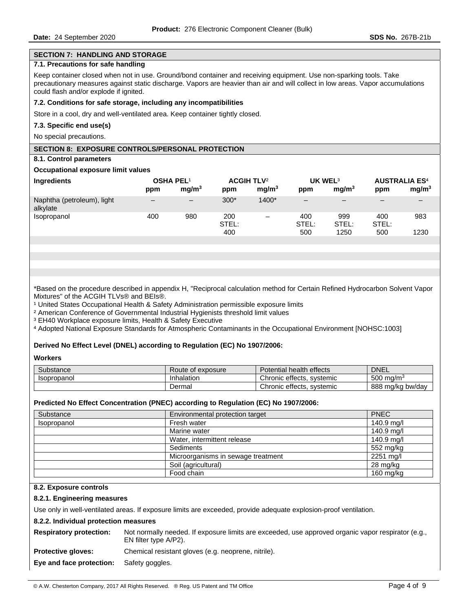### **SECTION 7: HANDLING AND STORAGE**

# **7.1. Precautions for safe handling**

Keep container closed when not in use. Ground/bond container and receiving equipment. Use non-sparking tools. Take precautionary measures against static discharge. Vapors are heavier than air and will collect in low areas. Vapor accumulations could flash and/or explode if ignited.

### **7.2. Conditions for safe storage, including any incompatibilities**

Store in a cool, dry and well-ventilated area. Keep container tightly closed.

#### **7.3. Specific end use(s)**

No special precautions.

# **SECTION 8: EXPOSURE CONTROLS/PERSONAL PROTECTION**

#### **8.1. Control parameters**

### **Occupational exposure limit values**

| Ingredients                            | <b>OSHA PEL1</b><br>ppm  | mq/m <sup>3</sup>      | <b>ACGIH TLV<sup>2</sup></b><br>ppm | mq/m <sup>3</sup>        | UK WEL <sup>3</sup><br>ppm | mq/m <sup>3</sup>    | <b>AUSTRALIA ES<sup>4</sup></b><br>ppm | mg/m <sup>3</sup> |
|----------------------------------------|--------------------------|------------------------|-------------------------------------|--------------------------|----------------------------|----------------------|----------------------------------------|-------------------|
| Naphtha (petroleum), light<br>alkylate | $\overline{\phantom{0}}$ | $\qquad \qquad \qquad$ | $300*$                              | 1400*                    | $\qquad \qquad -$          | -                    | -                                      |                   |
| <i>Isopropanol</i>                     | 400                      | 980                    | 200<br>STEL:<br>400                 | $\overline{\phantom{0}}$ | 400<br>STEL:<br>500        | 999<br>STEL:<br>1250 | 400<br>STEL:<br>500                    | 983<br>1230       |

\*Based on the procedure described in appendix H, "Reciprocal calculation method for Certain Refined Hydrocarbon Solvent Vapor Mixtures" of the ACGIH TLVs® and BEIs®.

<sup>1</sup> United States Occupational Health & Safety Administration permissible exposure limits

² American Conference of Governmental Industrial Hygienists threshold limit values

³ EH40 Workplace exposure limits, Health & Safety Executive

⁴ Adopted National Exposure Standards for Atmospheric Contaminants in the Occupational Environment [NOHSC:1003]

### **Derived No Effect Level (DNEL) according to Regulation (EC) No 1907/2006:**

**Workers** 

| Substance                 | Route of<br>exposure | <b>Potential health</b><br>effects                    | <b>DNEL</b>              |
|---------------------------|----------------------|-------------------------------------------------------|--------------------------|
| <i><b>Isopropanol</b></i> | Inhalation           | Chronic effects, systemic                             | 500<br>ma/m <sup>3</sup> |
|                           | Dermal               | $\overline{\phantom{a}}$<br>Chronic effects, systemic | 888<br>ma/ka bw/dav      |

### **Predicted No Effect Concentration (PNEC) according to Regulation (EC) No 1907/2006:**

| Substance   | Environmental protection target    | <b>PNEC</b>         |
|-------------|------------------------------------|---------------------|
| Isopropanol | Fresh water                        | 140.9 mg/l          |
|             | Marine water                       | 140.9 mg/l          |
|             | Water, intermittent release        | 140.9 mg/l          |
|             | Sediments                          | 552 mg/kg           |
|             | Microorganisms in sewage treatment | 2251 mg/l           |
|             | Soil (agricultural)                | 28 mg/kg            |
|             | Food chain                         | $160 \text{ mg/kg}$ |

#### **8.2. Exposure controls**

#### **8.2.1. Engineering measures**

Use only in well-ventilated areas. If exposure limits are exceeded, provide adequate explosion-proof ventilation.

#### **8.2.2. Individual protection measures**

| <b>Respiratory protection:</b> | Not normally needed. If exposure limits are exceeded, use approved organic vapor respirator (e.g.,<br>EN filter type A/P2). |
|--------------------------------|-----------------------------------------------------------------------------------------------------------------------------|
| <b>Protective gloves:</b>      | Chemical resistant gloves (e.g. neoprene, nitrile).                                                                         |

**Eye and face protection:** Safety goggles.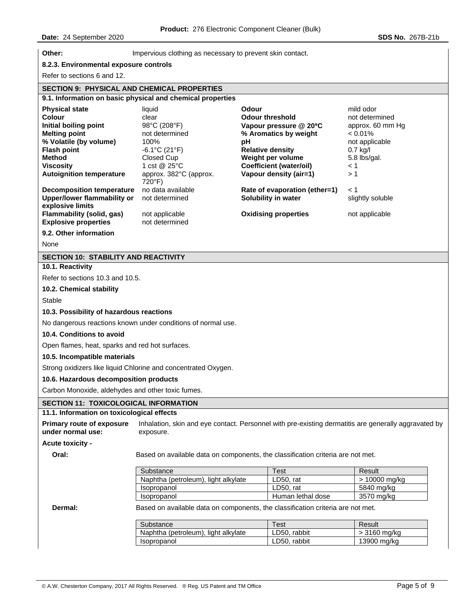| Other:                                                                                                                                                                                                                                       | Impervious clothing as necessary to prevent skin contact.                                                                                                                              |                                                                                                                                                                                                                                       |                                                                                                                                             |  |  |
|----------------------------------------------------------------------------------------------------------------------------------------------------------------------------------------------------------------------------------------------|----------------------------------------------------------------------------------------------------------------------------------------------------------------------------------------|---------------------------------------------------------------------------------------------------------------------------------------------------------------------------------------------------------------------------------------|---------------------------------------------------------------------------------------------------------------------------------------------|--|--|
| 8.2.3. Environmental exposure controls                                                                                                                                                                                                       |                                                                                                                                                                                        |                                                                                                                                                                                                                                       |                                                                                                                                             |  |  |
| Refer to sections 6 and 12.                                                                                                                                                                                                                  |                                                                                                                                                                                        |                                                                                                                                                                                                                                       |                                                                                                                                             |  |  |
| <b>SECTION 9: PHYSICAL AND CHEMICAL PROPERTIES</b>                                                                                                                                                                                           |                                                                                                                                                                                        |                                                                                                                                                                                                                                       |                                                                                                                                             |  |  |
|                                                                                                                                                                                                                                              | 9.1. Information on basic physical and chemical properties                                                                                                                             |                                                                                                                                                                                                                                       |                                                                                                                                             |  |  |
| <b>Physical state</b><br>Colour<br>Initial boiling point<br><b>Melting point</b><br>% Volatile (by volume)<br><b>Flash point</b><br><b>Method</b><br><b>Viscosity</b><br><b>Autoignition temperature</b><br><b>Decomposition temperature</b> | liquid<br>clear<br>98°C (208°F)<br>not determined<br>100%<br>$-6.1^{\circ}$ C (21 $^{\circ}$ F)<br>Closed Cup<br>1 cst @ 25°C<br>approx. 382°C (approx.<br>720°F)<br>no data available | Odour<br><b>Odour threshold</b><br>Vapour pressure @ 20°C<br>% Aromatics by weight<br>рH<br><b>Relative density</b><br>Weight per volume<br><b>Coefficient (water/oil)</b><br>Vapour density (air=1)<br>Rate of evaporation (ether=1) | mild odor<br>not determined<br>approx. 60 mm Hg<br>$< 0.01\%$<br>not applicable<br>$0.7$ kg/l<br>5.8 lbs/gal.<br>$\leq 1$<br>>1<br>$\leq 1$ |  |  |
| <b>Upper/lower flammability or</b><br>explosive limits                                                                                                                                                                                       | not determined                                                                                                                                                                         | Solubility in water                                                                                                                                                                                                                   | slightly soluble                                                                                                                            |  |  |
| Flammability (solid, gas)<br><b>Explosive properties</b>                                                                                                                                                                                     | not applicable<br>not determined                                                                                                                                                       | <b>Oxidising properties</b>                                                                                                                                                                                                           | not applicable                                                                                                                              |  |  |
| 9.2. Other information                                                                                                                                                                                                                       |                                                                                                                                                                                        |                                                                                                                                                                                                                                       |                                                                                                                                             |  |  |
| None                                                                                                                                                                                                                                         |                                                                                                                                                                                        |                                                                                                                                                                                                                                       |                                                                                                                                             |  |  |
| SECTION 10: STABILITY AND REACTIVITY                                                                                                                                                                                                         |                                                                                                                                                                                        |                                                                                                                                                                                                                                       |                                                                                                                                             |  |  |
| 10.1. Reactivity                                                                                                                                                                                                                             |                                                                                                                                                                                        |                                                                                                                                                                                                                                       |                                                                                                                                             |  |  |
| Refer to sections 10.3 and 10.5.                                                                                                                                                                                                             |                                                                                                                                                                                        |                                                                                                                                                                                                                                       |                                                                                                                                             |  |  |
| 10.2. Chemical stability                                                                                                                                                                                                                     |                                                                                                                                                                                        |                                                                                                                                                                                                                                       |                                                                                                                                             |  |  |
| Stable                                                                                                                                                                                                                                       |                                                                                                                                                                                        |                                                                                                                                                                                                                                       |                                                                                                                                             |  |  |
| 10.3. Possibility of hazardous reactions                                                                                                                                                                                                     |                                                                                                                                                                                        |                                                                                                                                                                                                                                       |                                                                                                                                             |  |  |
|                                                                                                                                                                                                                                              | No dangerous reactions known under conditions of normal use.                                                                                                                           |                                                                                                                                                                                                                                       |                                                                                                                                             |  |  |
| 10.4. Conditions to avoid                                                                                                                                                                                                                    |                                                                                                                                                                                        |                                                                                                                                                                                                                                       |                                                                                                                                             |  |  |
| Open flames, heat, sparks and red hot surfaces.                                                                                                                                                                                              |                                                                                                                                                                                        |                                                                                                                                                                                                                                       |                                                                                                                                             |  |  |
| 10.5. Incompatible materials                                                                                                                                                                                                                 |                                                                                                                                                                                        |                                                                                                                                                                                                                                       |                                                                                                                                             |  |  |
|                                                                                                                                                                                                                                              | Strong oxidizers like liquid Chlorine and concentrated Oxygen.                                                                                                                         |                                                                                                                                                                                                                                       |                                                                                                                                             |  |  |
| 10.6. Hazardous decomposition products                                                                                                                                                                                                       |                                                                                                                                                                                        |                                                                                                                                                                                                                                       |                                                                                                                                             |  |  |
| Carbon Monoxide, aldehydes and other toxic fumes.                                                                                                                                                                                            |                                                                                                                                                                                        |                                                                                                                                                                                                                                       |                                                                                                                                             |  |  |
| SECTION 11: TOXICOLOGICAL INFORMATION                                                                                                                                                                                                        |                                                                                                                                                                                        |                                                                                                                                                                                                                                       |                                                                                                                                             |  |  |
| 11.1. Information on toxicological effects                                                                                                                                                                                                   |                                                                                                                                                                                        |                                                                                                                                                                                                                                       |                                                                                                                                             |  |  |
| <b>Primary route of exposure</b><br>under normal use:                                                                                                                                                                                        | exposure.                                                                                                                                                                              | Inhalation, skin and eye contact. Personnel with pre-existing dermatitis are generally aggravated by                                                                                                                                  |                                                                                                                                             |  |  |
| Acute toxicity -                                                                                                                                                                                                                             |                                                                                                                                                                                        |                                                                                                                                                                                                                                       |                                                                                                                                             |  |  |
| Oral:                                                                                                                                                                                                                                        |                                                                                                                                                                                        | Based on available data on components, the classification criteria are not met.                                                                                                                                                       |                                                                                                                                             |  |  |
|                                                                                                                                                                                                                                              | Substance                                                                                                                                                                              | Test                                                                                                                                                                                                                                  | Result                                                                                                                                      |  |  |
|                                                                                                                                                                                                                                              | Naphtha (petroleum), light alkylate<br>Isopropanol                                                                                                                                     | LD50, rat<br>LD50, rat                                                                                                                                                                                                                | > 10000 mg/kg<br>5840 mg/kg                                                                                                                 |  |  |
|                                                                                                                                                                                                                                              | Isopropanol                                                                                                                                                                            | Human lethal dose                                                                                                                                                                                                                     | 3570 mg/kg                                                                                                                                  |  |  |
| Dermal:                                                                                                                                                                                                                                      |                                                                                                                                                                                        | Based on available data on components, the classification criteria are not met.                                                                                                                                                       |                                                                                                                                             |  |  |
|                                                                                                                                                                                                                                              | Substance                                                                                                                                                                              | <b>Test</b>                                                                                                                                                                                                                           | Result                                                                                                                                      |  |  |
|                                                                                                                                                                                                                                              | Naphtha (petroleum), light alkylate                                                                                                                                                    | LD50, rabbit                                                                                                                                                                                                                          | > 3160 mg/kg                                                                                                                                |  |  |
|                                                                                                                                                                                                                                              | Isopropanol                                                                                                                                                                            | LD50, rabbit                                                                                                                                                                                                                          | 13900 mg/kg                                                                                                                                 |  |  |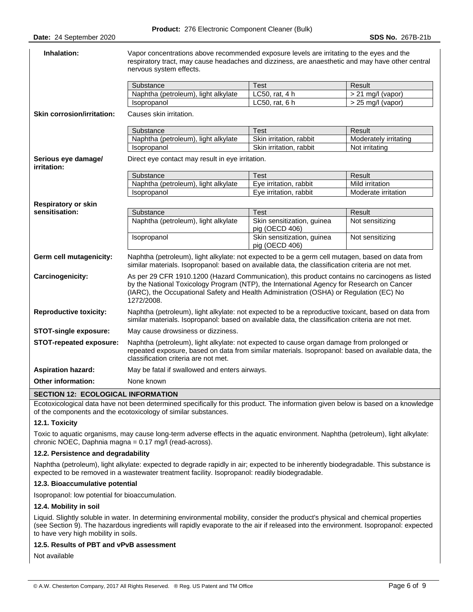| Inhalation:                        | Vapor concentrations above recommended exposure levels are irritating to the eyes and the<br>respiratory tract, may cause headaches and dizziness, are anaesthetic and may have other central<br>nervous system effects.                                                                            |                                              |                       |  |  |
|------------------------------------|-----------------------------------------------------------------------------------------------------------------------------------------------------------------------------------------------------------------------------------------------------------------------------------------------------|----------------------------------------------|-----------------------|--|--|
|                                    | Substance                                                                                                                                                                                                                                                                                           | <b>Test</b>                                  | Result                |  |  |
|                                    | Naphtha (petroleum), light alkylate                                                                                                                                                                                                                                                                 | LC50, rat, 4 h                               | $> 21$ mg/l (vapor)   |  |  |
|                                    | Isopropanol                                                                                                                                                                                                                                                                                         | LC50, rat, 6 h                               | $> 25$ mg/l (vapor)   |  |  |
| <b>Skin corrosion/irritation:</b>  | Causes skin irritation.                                                                                                                                                                                                                                                                             |                                              |                       |  |  |
|                                    | Substance                                                                                                                                                                                                                                                                                           | <b>Test</b>                                  | Result                |  |  |
|                                    | Naphtha (petroleum), light alkylate                                                                                                                                                                                                                                                                 | Skin irritation, rabbit                      | Moderately irritating |  |  |
|                                    | Isopropanol                                                                                                                                                                                                                                                                                         | Skin irritation, rabbit                      | Not irritating        |  |  |
| Serious eye damage/<br>irritation: | Direct eye contact may result in eye irritation.                                                                                                                                                                                                                                                    |                                              |                       |  |  |
|                                    | Substance                                                                                                                                                                                                                                                                                           | <b>Test</b>                                  | Result                |  |  |
|                                    | Naphtha (petroleum), light alkylate                                                                                                                                                                                                                                                                 | Eye irritation, rabbit                       | Mild irritation       |  |  |
|                                    | Isopropanol                                                                                                                                                                                                                                                                                         | Eye irritation, rabbit                       | Moderate irritation   |  |  |
| <b>Respiratory or skin</b>         |                                                                                                                                                                                                                                                                                                     |                                              |                       |  |  |
| sensitisation:                     | Substance                                                                                                                                                                                                                                                                                           | <b>Test</b>                                  | Result                |  |  |
|                                    | Naphtha (petroleum), light alkylate                                                                                                                                                                                                                                                                 | Skin sensitization, guinea<br>pig (OECD 406) | Not sensitizing       |  |  |
|                                    | Isopropanol                                                                                                                                                                                                                                                                                         | Skin sensitization, guinea<br>pig (OECD 406) | Not sensitizing       |  |  |
| Germ cell mutagenicity:            | Naphtha (petroleum), light alkylate: not expected to be a germ cell mutagen, based on data from<br>similar materials. Isopropanol: based on available data, the classification criteria are not met.                                                                                                |                                              |                       |  |  |
| Carcinogenicity:                   | As per 29 CFR 1910.1200 (Hazard Communication), this product contains no carcinogens as listed<br>by the National Toxicology Program (NTP), the International Agency for Research on Cancer<br>(IARC), the Occupational Safety and Health Administration (OSHA) or Regulation (EC) No<br>1272/2008. |                                              |                       |  |  |
| <b>Reproductive toxicity:</b>      | Naphtha (petroleum), light alkylate: not expected to be a reproductive toxicant, based on data from<br>similar materials. Isopropanol: based on available data, the classification criteria are not met.                                                                                            |                                              |                       |  |  |
| <b>STOT-single exposure:</b>       | May cause drowsiness or dizziness.                                                                                                                                                                                                                                                                  |                                              |                       |  |  |
| STOT-repeated exposure:            | Naphtha (petroleum), light alkylate: not expected to cause organ damage from prolonged or<br>repeated exposure, based on data from similar materials. Isopropanol: based on available data, the<br>classification criteria are not met.                                                             |                                              |                       |  |  |
| <b>Aspiration hazard:</b>          | May be fatal if swallowed and enters airways.                                                                                                                                                                                                                                                       |                                              |                       |  |  |
| <b>Other information:</b>          | None known                                                                                                                                                                                                                                                                                          |                                              |                       |  |  |
| CECTION 12. ECOLOGICAL INFORMATION |                                                                                                                                                                                                                                                                                                     |                                              |                       |  |  |

### **SECTION 12: ECOLOGICAL INFORMATION**

Ecotoxicological data have not been determined specifically for this product. The information given below is based on a knowledge of the components and the ecotoxicology of similar substances.

### **12.1. Toxicity**

Toxic to aquatic organisms, may cause long-term adverse effects in the aquatic environment. Naphtha (petroleum), light alkylate: chronic NOEC, Daphnia magna = 0.17 mg/l (read-across).

### **12.2. Persistence and degradability**

Naphtha (petroleum), light alkylate: expected to degrade rapidly in air; expected to be inherently biodegradable. This substance is expected to be removed in a wastewater treatment facility. Isopropanol: readily biodegradable.

## **12.3. Bioaccumulative potential**

Isopropanol: low potential for bioaccumulation.

### **12.4. Mobility in soil**

Liquid. Slightly soluble in water. In determining environmental mobility, consider the product's physical and chemical properties (see Section 9). The hazardous ingredients will rapidly evaporate to the air if released into the environment. Isopropanol: expected to have very high mobility in soils.

### **12.5. Results of PBT and vPvB assessment**

Not available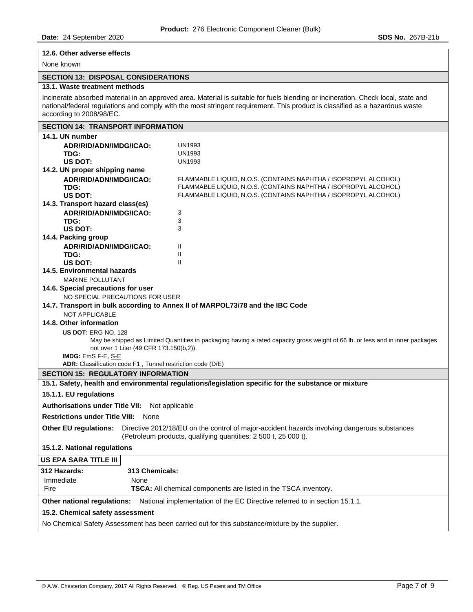### **12.6. Other adverse effects**

# None known

# **SECTION 13: DISPOSAL CONSIDERATIONS**

### **13.1. Waste treatment methods**

Incinerate absorbed material in an approved area. Material is suitable for fuels blending or incineration. Check local, state and national/federal regulations and comply with the most stringent requirement. This product is classified as a hazardous waste according to 2008/98/EC.

| <b>SECTION 14: TRANSPORT INFORMATION</b>                                                                                                                                                 |                                                                                                                                    |  |  |  |  |  |
|------------------------------------------------------------------------------------------------------------------------------------------------------------------------------------------|------------------------------------------------------------------------------------------------------------------------------------|--|--|--|--|--|
| 14.1. UN number                                                                                                                                                                          |                                                                                                                                    |  |  |  |  |  |
| ADR/RID/ADN/IMDG/ICAO:                                                                                                                                                                   | UN1993                                                                                                                             |  |  |  |  |  |
| TDG:                                                                                                                                                                                     | <b>UN1993</b>                                                                                                                      |  |  |  |  |  |
| US DOT:                                                                                                                                                                                  | <b>UN1993</b>                                                                                                                      |  |  |  |  |  |
| 14.2. UN proper shipping name                                                                                                                                                            |                                                                                                                                    |  |  |  |  |  |
| ADR/RID/ADN/IMDG/ICAO:<br>TDG:                                                                                                                                                           | FLAMMABLE LIOUID, N.O.S. (CONTAINS NAPHTHA / ISOPROPYL ALCOHOL)<br>FLAMMABLE LIQUID, N.O.S. (CONTAINS NAPHTHA / ISOPROPYL ALCOHOL) |  |  |  |  |  |
| US DOT:                                                                                                                                                                                  | FLAMMABLE LIQUID, N.O.S. (CONTAINS NAPHTHA / ISOPROPYL ALCOHOL)                                                                    |  |  |  |  |  |
| 14.3. Transport hazard class(es)                                                                                                                                                         |                                                                                                                                    |  |  |  |  |  |
| ADR/RID/ADN/IMDG/ICAO:                                                                                                                                                                   | 3                                                                                                                                  |  |  |  |  |  |
| TDG:                                                                                                                                                                                     | 3                                                                                                                                  |  |  |  |  |  |
| US DOT:                                                                                                                                                                                  | 3                                                                                                                                  |  |  |  |  |  |
| 14.4. Packing group                                                                                                                                                                      |                                                                                                                                    |  |  |  |  |  |
| ADR/RID/ADN/IMDG/ICAO:                                                                                                                                                                   | Ш                                                                                                                                  |  |  |  |  |  |
| TDG:                                                                                                                                                                                     | Ш                                                                                                                                  |  |  |  |  |  |
| US DOT:                                                                                                                                                                                  | Ш                                                                                                                                  |  |  |  |  |  |
| 14.5. Environmental hazards<br><b>MARINE POLLUTANT</b>                                                                                                                                   |                                                                                                                                    |  |  |  |  |  |
| 14.6. Special precautions for user                                                                                                                                                       |                                                                                                                                    |  |  |  |  |  |
| NO SPECIAL PRECAUTIONS FOR USER                                                                                                                                                          |                                                                                                                                    |  |  |  |  |  |
|                                                                                                                                                                                          | 14.7. Transport in bulk according to Annex II of MARPOL73/78 and the IBC Code                                                      |  |  |  |  |  |
| <b>NOT APPLICABLE</b>                                                                                                                                                                    |                                                                                                                                    |  |  |  |  |  |
| 14.8. Other information                                                                                                                                                                  |                                                                                                                                    |  |  |  |  |  |
| <b>US DOT: ERG NO. 128</b>                                                                                                                                                               |                                                                                                                                    |  |  |  |  |  |
| May be shipped as Limited Quantities in packaging having a rated capacity gross weight of 66 lb. or less and in inner packages                                                           |                                                                                                                                    |  |  |  |  |  |
| not over 1 Liter (49 CFR 173.150(b,2)).                                                                                                                                                  |                                                                                                                                    |  |  |  |  |  |
| IMDG: EmS F-E, S-E<br>ADR: Classification code F1, Tunnel restriction code (D/E)                                                                                                         |                                                                                                                                    |  |  |  |  |  |
| <b>SECTION 15: REGULATORY INFORMATION</b>                                                                                                                                                |                                                                                                                                    |  |  |  |  |  |
| 15.1. Safety, health and environmental regulations/legislation specific for the substance or mixture                                                                                     |                                                                                                                                    |  |  |  |  |  |
|                                                                                                                                                                                          | 15.1.1. EU regulations                                                                                                             |  |  |  |  |  |
| <b>Authorisations under Title VII:</b><br>Not applicable                                                                                                                                 |                                                                                                                                    |  |  |  |  |  |
| <b>Restrictions under Title VIII:</b><br>None                                                                                                                                            |                                                                                                                                    |  |  |  |  |  |
|                                                                                                                                                                                          |                                                                                                                                    |  |  |  |  |  |
| Directive 2012/18/EU on the control of major-accident hazards involving dangerous substances<br>Other EU regulations:<br>(Petroleum products, qualifying quantities: 2 500 t, 25 000 t). |                                                                                                                                    |  |  |  |  |  |
| 15.1.2. National regulations                                                                                                                                                             |                                                                                                                                    |  |  |  |  |  |
| <b>US EPA SARA TITLE III</b>                                                                                                                                                             |                                                                                                                                    |  |  |  |  |  |
| 312 Hazards:<br>313 Chemicals:                                                                                                                                                           |                                                                                                                                    |  |  |  |  |  |
| Immediate<br>None                                                                                                                                                                        |                                                                                                                                    |  |  |  |  |  |
| Fire                                                                                                                                                                                     | <b>TSCA:</b> All chemical components are listed in the TSCA inventory.                                                             |  |  |  |  |  |
| Other national regulations:                                                                                                                                                              | National implementation of the EC Directive referred to in section 15.1.1.                                                         |  |  |  |  |  |
| 15.2. Chemical safety assessment                                                                                                                                                         |                                                                                                                                    |  |  |  |  |  |
|                                                                                                                                                                                          | No Chemical Safety Assessment has been carried out for this substance/mixture by the supplier.                                     |  |  |  |  |  |